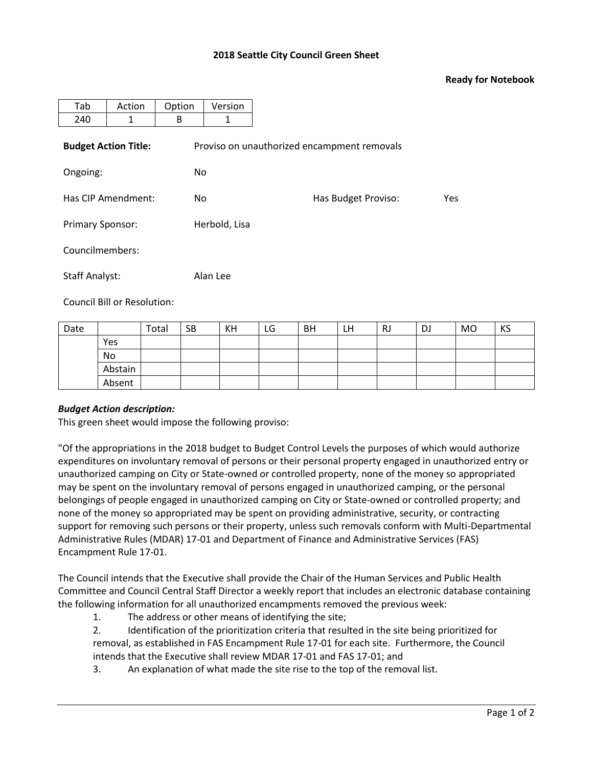## **2018 Seattle City Council Green Sheet**

## **Ready for Notebook**

| Tab                         | Action | Option | Version                                     |                     |     |  |  |  |  |
|-----------------------------|--------|--------|---------------------------------------------|---------------------|-----|--|--|--|--|
|                             |        |        |                                             |                     |     |  |  |  |  |
| 240                         | 1      | B      | 1                                           |                     |     |  |  |  |  |
| <b>Budget Action Title:</b> |        |        | Proviso on unauthorized encampment removals |                     |     |  |  |  |  |
| Ongoing:                    |        | No     |                                             |                     |     |  |  |  |  |
| Has CIP Amendment:          |        | No.    |                                             | Has Budget Proviso: | Yes |  |  |  |  |
| <b>Primary Sponsor:</b>     |        |        | Herbold, Lisa                               |                     |     |  |  |  |  |
| Councilmembers:             |        |        |                                             |                     |     |  |  |  |  |
| <b>Staff Analyst:</b>       |        |        | Alan Lee                                    |                     |     |  |  |  |  |

Council Bill or Resolution:

| Date |         | Total | <b>SB</b> | KH | LG | BH | LH. | <b>RJ</b> | DJ | <b>MO</b> | KS |
|------|---------|-------|-----------|----|----|----|-----|-----------|----|-----------|----|
|      | Yes     |       |           |    |    |    |     |           |    |           |    |
|      | No      |       |           |    |    |    |     |           |    |           |    |
|      | Abstain |       |           |    |    |    |     |           |    |           |    |
|      | Absent  |       |           |    |    |    |     |           |    |           |    |

## *Budget Action description:*

This green sheet would impose the following proviso:

"Of the appropriations in the 2018 budget to Budget Control Levels the purposes of which would authorize expenditures on involuntary removal of persons or their personal property engaged in unauthorized entry or unauthorized camping on City or State-owned or controlled property, none of the money so appropriated may be spent on the involuntary removal of persons engaged in unauthorized camping, or the personal belongings of people engaged in unauthorized camping on City or State-owned or controlled property; and none of the money so appropriated may be spent on providing administrative, security, or contracting support for removing such persons or their property, unless such removals conform with Multi-Departmental Administrative Rules (MDAR) 17-01 and Department of Finance and Administrative Services (FAS) Encampment Rule 17-01.

The Council intends that the Executive shall provide the Chair of the Human Services and Public Health Committee and Council Central Staff Director a weekly report that includes an electronic database containing the following information for all unauthorized encampments removed the previous week:

- 1. The address or other means of identifying the site;
- 2. Identification of the prioritization criteria that resulted in the site being prioritized for removal, as established in FAS Encampment Rule 17-01 for each site. Furthermore, the Council intends that the Executive shall review MDAR 17-01 and FAS 17-01; and
- 3. An explanation of what made the site rise to the top of the removal list.